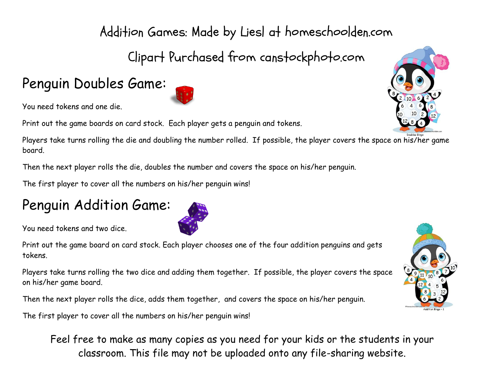## Addition Games: Made by Liesl at homeschoolden.com

Clipart Purchased from canstockphoto.com

## Penguin Doubles Game:

You need tokens and one die.

Print out the game boards on card stock. Each player gets a penguin and tokens.

Players take turns rolling the die and doubling the number rolled. If possible, the player covers the space on his/her game board.

Then the next player rolls the die, doubles the number and covers the space on his/her penguin.

The first player to cover all the numbers on his/her penguin wins!

## Penguin Addition Game:

You need tokens and two dice.

Print out the game board on card stock. Each player chooses one of the four addition penguins and gets tokens.

Players take turns rolling the two dice and adding them together. If possible, the player covers the space on his/her game board.

Then the next player rolls the dice, adds them together, and covers the space on his/her penguin.

The first player to cover all the numbers on his/her penguin wins!

Feel free to make as many copies as you need for your kids or the students in your classroom. This file may not be uploaded onto any file-sharing website.





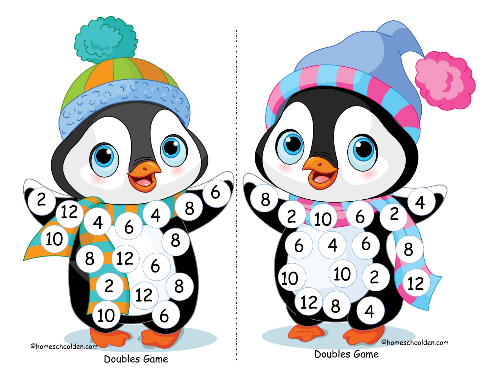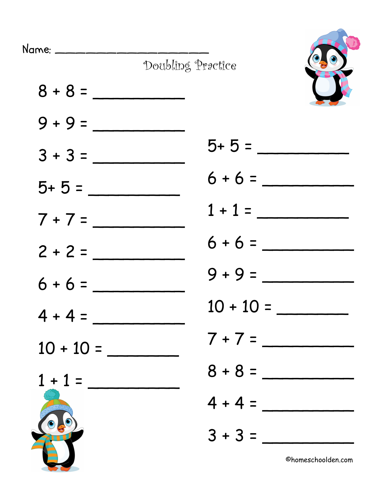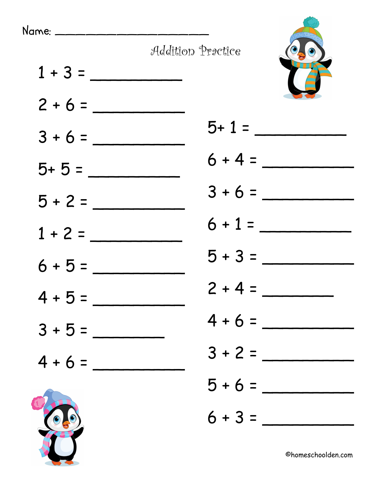







©homeschoolden.com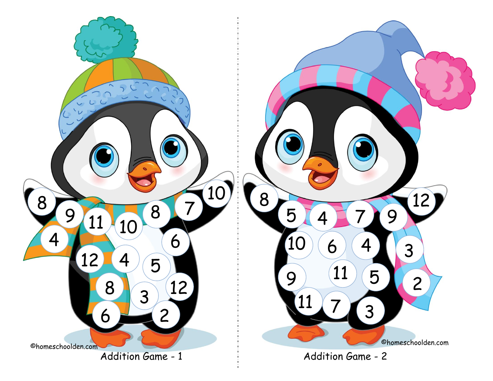